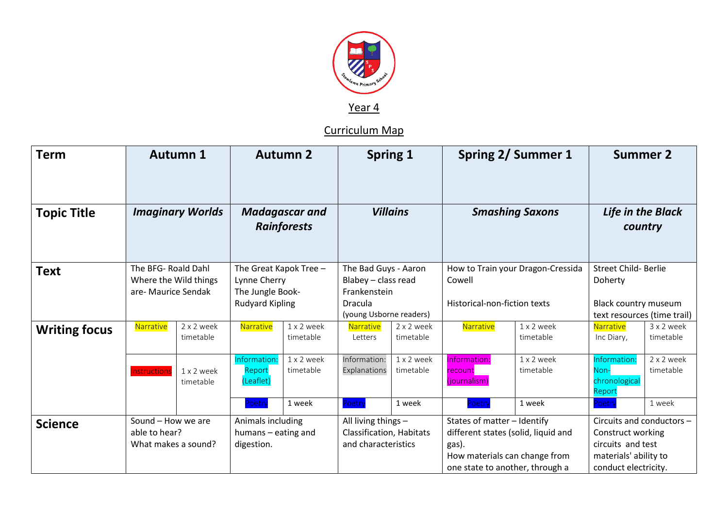

Year 4

Curriculum Map

| <b>Term</b>          | <b>Autumn 1</b>                                                     |                         | <b>Autumn 2</b>                                                                      |                         | <b>Spring 1</b>                                                                                   |                         | <b>Spring 2/ Summer 1</b>                                                                                                                       |                         | <b>Summer 2</b>                                                                                                      |                         |
|----------------------|---------------------------------------------------------------------|-------------------------|--------------------------------------------------------------------------------------|-------------------------|---------------------------------------------------------------------------------------------------|-------------------------|-------------------------------------------------------------------------------------------------------------------------------------------------|-------------------------|----------------------------------------------------------------------------------------------------------------------|-------------------------|
| <b>Topic Title</b>   | <b>Imaginary Worlds</b>                                             |                         | <b>Madagascar and</b><br><b>Rainforests</b>                                          |                         | <b>Villains</b>                                                                                   |                         | <b>Smashing Saxons</b>                                                                                                                          |                         | Life in the Black<br>country                                                                                         |                         |
| <b>Text</b>          | The BFG- Roald Dahl<br>Where the Wild things<br>are- Maurice Sendak |                         | The Great Kapok Tree -<br>Lynne Cherry<br>The Jungle Book-<br><b>Rudyard Kipling</b> |                         | The Bad Guys - Aaron<br>Blabey - class read<br>Frankenstein<br>Dracula<br>(young Usborne readers) |                         | How to Train your Dragon-Cressida<br>Cowell<br>Historical-non-fiction texts                                                                     |                         | <b>Street Child- Berlie</b><br>Doherty<br>Black country museum<br>text resources (time trail)                        |                         |
| <b>Writing focus</b> | Narrative                                                           | 2 x 2 week<br>timetable | Narrative                                                                            | 1 x 2 week<br>timetable | Narrative<br>Letters                                                                              | 2 x 2 week<br>timetable | Narrative                                                                                                                                       | 1 x 2 week<br>timetable | Narrative<br>Inc Diary,                                                                                              | 3 x 2 week<br>timetable |
|                      | <b>Instructions</b>                                                 | 1 x 2 week<br>timetable | Information:<br>Report<br>(Leaflet)                                                  | 1 x 2 week<br>timetable | Information:<br>Explanations                                                                      | 1 x 2 week<br>timetable | Information:<br>recount<br>(journalism)                                                                                                         | 1 x 2 week<br>timetable | Information:<br>Non-<br>chronological<br>Report                                                                      | 2 x 2 week<br>timetable |
|                      |                                                                     |                         | Poetry                                                                               | 1 week                  | Poetry                                                                                            | 1 week                  | oetry                                                                                                                                           | 1 week                  | Poetry                                                                                                               | 1 week                  |
| <b>Science</b>       | Sound - How we are<br>able to hear?<br>What makes a sound?          |                         | Animals including<br>humans - eating and<br>digestion.                               |                         | All living things -<br><b>Classification, Habitats</b><br>and characteristics                     |                         | States of matter - Identify<br>different states (solid, liquid and<br>gas).<br>How materials can change from<br>one state to another, through a |                         | Circuits and conductors -<br>Construct working<br>circuits and test<br>materials' ability to<br>conduct electricity. |                         |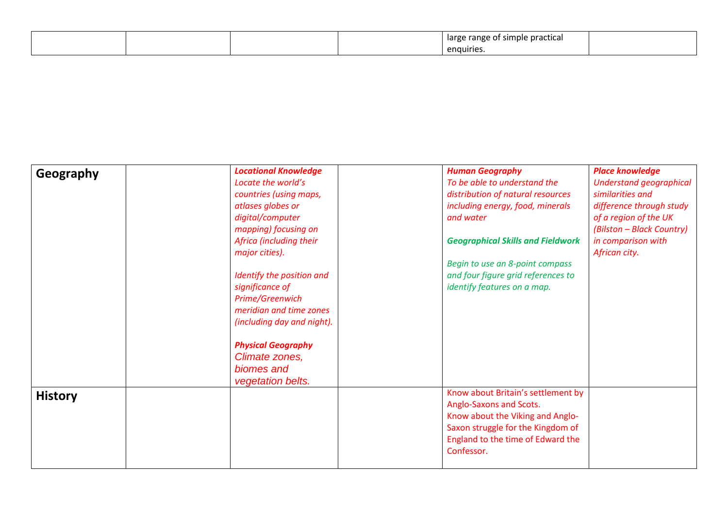|  |  | i simple practical<br>range<br>large<br>. . |  |
|--|--|---------------------------------------------|--|
|  |  | $\bullet$<br>enguiries.                     |  |

| Geography      | <b>Locational Knowledge</b> | <b>Human Geography</b>                   | <b>Place knowledge</b>         |
|----------------|-----------------------------|------------------------------------------|--------------------------------|
|                | Locate the world's          | To be able to understand the             | <b>Understand geographical</b> |
|                | countries (using maps,      | distribution of natural resources        | similarities and               |
|                | atlases globes or           | including energy, food, minerals         | difference through study       |
|                | digital/computer            | and water                                | of a region of the UK          |
|                | mapping) focusing on        |                                          | (Bilston - Black Country)      |
|                | Africa (including their     | <b>Geographical Skills and Fieldwork</b> | in comparison with             |
|                | major cities).              |                                          | African city.                  |
|                |                             | Begin to use an 8-point compass          |                                |
|                | Identify the position and   | and four figure grid references to       |                                |
|                | significance of             | identify features on a map.              |                                |
|                | Prime/Greenwich             |                                          |                                |
|                | meridian and time zones     |                                          |                                |
|                | (including day and night).  |                                          |                                |
|                | <b>Physical Geography</b>   |                                          |                                |
|                | Climate zones,              |                                          |                                |
|                | biomes and                  |                                          |                                |
|                | vegetation belts.           |                                          |                                |
| <b>History</b> |                             | Know about Britain's settlement by       |                                |
|                |                             | Anglo-Saxons and Scots.                  |                                |
|                |                             | Know about the Viking and Anglo-         |                                |
|                |                             | Saxon struggle for the Kingdom of        |                                |
|                |                             | England to the time of Edward the        |                                |
|                |                             | Confessor.                               |                                |
|                |                             |                                          |                                |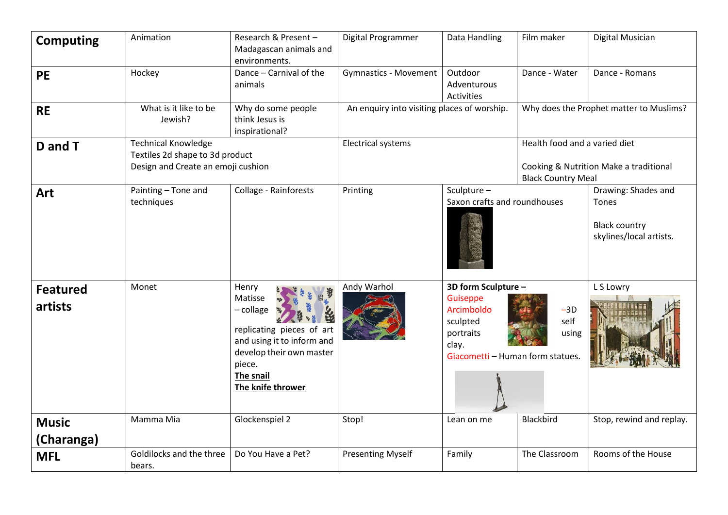| <b>Computing</b>           | Animation                                                                                                                                                                 | Research & Present -<br>Madagascan animals and<br>environments. | Digital Programmer                          | Data Handling                                                                                                                                 | Film maker                                                                                           | Digital Musician                                                                |  |
|----------------------------|---------------------------------------------------------------------------------------------------------------------------------------------------------------------------|-----------------------------------------------------------------|---------------------------------------------|-----------------------------------------------------------------------------------------------------------------------------------------------|------------------------------------------------------------------------------------------------------|---------------------------------------------------------------------------------|--|
| <b>PE</b>                  | Hockey                                                                                                                                                                    | Dance - Carnival of the<br>animals                              | <b>Gymnastics - Movement</b>                | Outdoor<br>Adventurous<br><b>Activities</b>                                                                                                   | Dance - Water                                                                                        | Dance - Romans                                                                  |  |
| <b>RE</b>                  | What is it like to be<br>Why do some people<br>think Jesus is<br>Jewish?<br>inspirational?                                                                                |                                                                 | An enquiry into visiting places of worship. |                                                                                                                                               | Why does the Prophet matter to Muslims?                                                              |                                                                                 |  |
| D and T                    | <b>Technical Knowledge</b><br>Textiles 2d shape to 3d product<br>Design and Create an emoji cushion                                                                       |                                                                 | <b>Electrical systems</b>                   |                                                                                                                                               | Health food and a varied diet<br>Cooking & Nutrition Make a traditional<br><b>Black Country Meal</b> |                                                                                 |  |
| Art                        | Painting - Tone and<br>techniques                                                                                                                                         | Collage - Rainforests                                           | Printing                                    | Sculpture-<br>Saxon crafts and roundhouses                                                                                                    |                                                                                                      | Drawing: Shades and<br>Tones<br><b>Black country</b><br>skylines/local artists. |  |
| <b>Featured</b><br>artists | Monet<br>Henry<br>Matisse<br>- collage<br>replicating pieces of art<br>and using it to inform and<br>develop their own master<br>piece.<br>The snail<br>The knife thrower |                                                                 | Andy Warhol                                 | 3D form Sculpture -<br>Guiseppe<br>Arcimboldo<br>$-3D$<br>self<br>sculpted<br>portraits<br>using<br>clay.<br>Giacometti - Human form statues. |                                                                                                      | L S Lowry                                                                       |  |
| <b>Music</b><br>(Charanga) | Mamma Mia                                                                                                                                                                 | Glockenspiel 2                                                  | Stop!                                       | Lean on me                                                                                                                                    | Blackbird                                                                                            | Stop, rewind and replay.                                                        |  |
| <b>MFL</b>                 | Goldilocks and the three<br>bears.                                                                                                                                        | Do You Have a Pet?                                              | <b>Presenting Myself</b>                    | Family                                                                                                                                        | The Classroom                                                                                        | Rooms of the House                                                              |  |